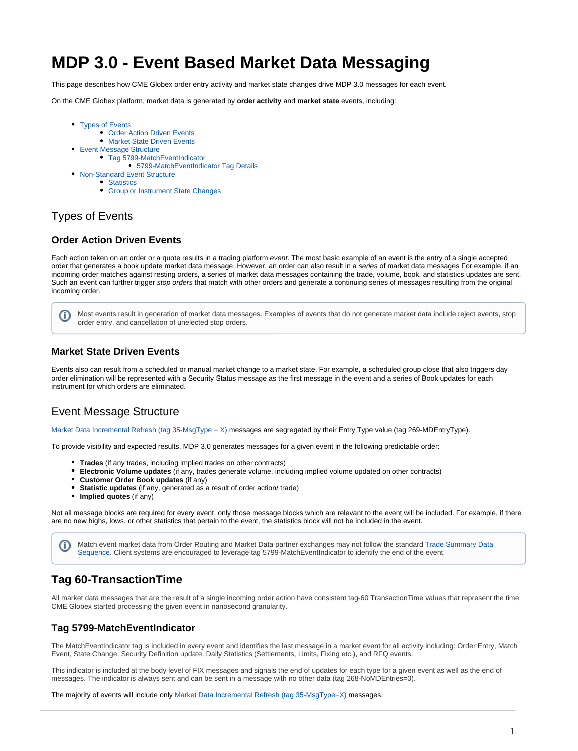# **MDP 3.0 - Event Based Market Data Messaging**

This page describes how CME Globex order entry activity and market state changes drive MDP 3.0 messages for each event.

On the CME Globex platform, market data is generated by **order activity** and **market state** events, including:

- [Types of Events](#page-0-0)
	- **[Order Action Driven Events](#page-0-1)**
	- **[Market State Driven Events](#page-0-2)**
- [Event Message Structure](#page-0-3)
	- [Tag 5799-MatchEventIndicator](#page-0-4)
		- [5799-MatchEventIndicator Tag Details](#page-1-0)
- [Non-Standard Event Structure](#page-1-1)
- [Statistics](#page-1-2)
	- [Group or Instrument State Changes](#page-1-3)

## <span id="page-0-0"></span>Types of Events

#### <span id="page-0-1"></span>**Order Action Driven Events**

Each action taken on an order or a quote results in a trading platform event. The most basic example of an event is the entry of a single accepted order that generates a book update market data message. However, an order can also result in a series of market data messages For example, if an incoming order matches against resting orders, a series of market data messages containing the trade, volume, book, and statistics updates are sent. Such an event can further trigger stop orders that match with other orders and generate a continuing series of messages resulting from the original incoming order.

Most events result in generation of market data messages. Examples of events that do not generate market data include reject events, stop O) order entry, and cancellation of unelected stop orders.

#### <span id="page-0-2"></span>**Market State Driven Events**

Events also can result from a scheduled or manual market change to a market state. For example, a scheduled group close that also triggers day order elimination will be represented with a Security Status message as the first message in the event and a series of Book updates for each instrument for which orders are eliminated.

## <span id="page-0-3"></span>Event Message Structure

[Market Data Incremental Refresh \(tag 35-MsgType = X\)](https://www.cmegroup.com/confluence/display/EPICSANDBOX/MDP+3.0+-+Market+Data+Incremental+Refresh) messages are segregated by their Entry Type value (tag 269-MDEntryType).

To provide visibility and expected results, MDP 3.0 generates messages for a given event in the following predictable order:

- **Trades** (if any trades, including implied trades on other contracts)
- **Electronic Volume updates** (if any, trades generate volume, including implied volume updated on other contracts)
- **Customer Order Book updates** (if any)
- **Statistic updates** (if any, generated as a result of order action/ trade)
- **Implied quotes** (if any)

Not all message blocks are required for every event, only those message blocks which are relevant to the event will be included. For example, if there are no new highs, lows, or other statistics that pertain to the event, the statistics block will not be included in the event.

Match event market data from Order Routing and Market Data partner exchanges may not follow the standard [Trade Summary Data](https://www.cmegroup.com/confluence/display/EPICSANDBOX/MDP+3.0+-+Trade+Summary#MDP3.0TradeSummary-TradeSummaryDataSequence)  [Sequence](https://www.cmegroup.com/confluence/display/EPICSANDBOX/MDP+3.0+-+Trade+Summary#MDP3.0TradeSummary-TradeSummaryDataSequence). Client systems are encouraged to leverage tag 5799-MatchEventIndicator to identify the end of the event.

## **Tag 60-TransactionTime**

G)

All market data messages that are the result of a single incoming order action have consistent tag-60 TransactionTime values that represent the time CME Globex started processing the given event in nanosecond granularity.

#### <span id="page-0-4"></span>**Tag 5799-MatchEventIndicator**

The MatchEventIndicator tag is included in every event and identifies the last message in a market event for all activity including: Order Entry, Match Event, State Change, Security Definition update, Daily Statistics (Settlements, Limits, Fixing etc.), and RFQ events.

This indicator is included at the body level of FIX messages and signals the end of updates for each type for a given event as well as the end of messages. The indicator is always sent and can be sent in a message with no other data (tag 268-NoMDEntries=0).

The majority of events will include only [Market Data Incremental Refresh \(tag 35-MsgType=X\)](https://www.cmegroup.com/confluence/display/EPICSANDBOX/MDP+3.0+-+Market+Data+Incremental+Refresh) messages.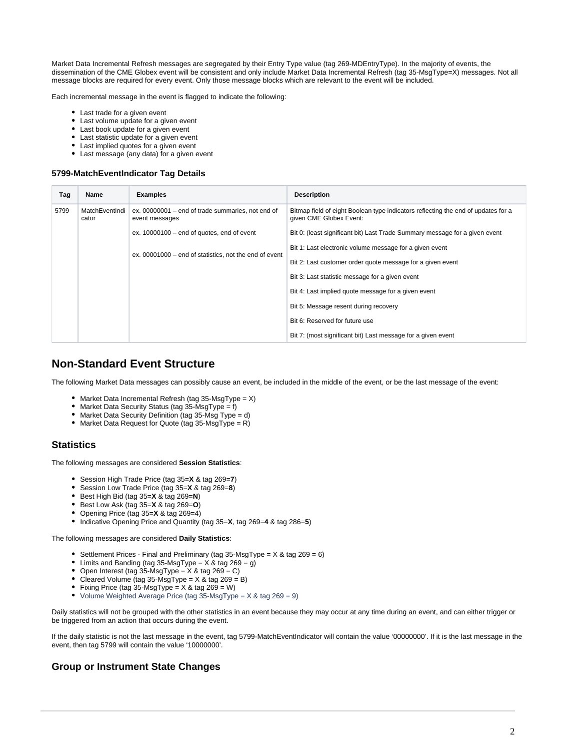Market Data Incremental Refresh messages are segregated by their Entry Type value (tag 269-MDEntryType). In the majority of events, the dissemination of the CME Globex event will be consistent and only include Market Data Incremental Refresh (tag 35-MsgType=X) messages. Not all message blocks are required for every event. Only those message blocks which are relevant to the event will be included.

Each incremental message in the event is flagged to indicate the following:

- Last trade for a given event
- Last volume update for a given event
- Last book update for a given event
- Last statistic update for a given event
- Last implied quotes for a given event
- Last message (any data) for a given event

#### <span id="page-1-0"></span>**5799-MatchEventIndicator Tag Details**

| Tag  | Name                    | <b>Examples</b>                                                     | <b>Description</b>                                                                                           |
|------|-------------------------|---------------------------------------------------------------------|--------------------------------------------------------------------------------------------------------------|
| 5799 | MatchEventIndi<br>cator | ex. 00000001 – end of trade summaries, not end of<br>event messages | Bitmap field of eight Boolean type indicators reflecting the end of updates for a<br>given CME Globex Event: |
|      |                         | ex. $10000100 -$ end of quotes, end of event                        | Bit 0: (least significant bit) Last Trade Summary message for a given event                                  |
|      |                         | ex. 00001000 – end of statistics, not the end of event              | Bit 1: Last electronic volume message for a given event                                                      |
|      |                         |                                                                     | Bit 2: Last customer order quote message for a given event                                                   |
|      |                         |                                                                     | Bit 3: Last statistic message for a given event                                                              |
|      |                         |                                                                     | Bit 4: Last implied quote message for a given event                                                          |
|      |                         |                                                                     | Bit 5: Message resent during recovery                                                                        |
|      |                         |                                                                     | Bit 6: Reserved for future use                                                                               |
|      |                         |                                                                     | Bit 7: (most significant bit) Last message for a given event                                                 |

## <span id="page-1-1"></span>**Non-Standard Event Structure**

The following Market Data messages can possibly cause an event, be included in the middle of the event, or be the last message of the event:

- Market Data Incremental Refresh (tag  $35$ -MsgType = X)
- Market Data Security Status (tag  $35-\text{MsgType} = f$ )
- Market Data Security Definition (tag 35-Msg Type = d)
- Market Data Request for Quote (tag  $35\text{-}MsgType = R$ )

### <span id="page-1-2"></span>**Statistics**

The following messages are considered **Session Statistics**:

- Session High Trade Price (tag 35=**X** & tag 269=**7**)
- Session Low Trade Price (tag 35=**X** & tag 269=**8**)
- Best High Bid (tag 35=**X** & tag 269=**N**)
- Best Low Ask (tag 35=**X** & tag 269=**O**)
- Opening Price (tag 35=**X** & tag 269=4)
- Indicative Opening Price and Quantity (tag 35=**X**, tag 269=**4** & tag 286=**5**)

The following messages are considered **Daily Statistics**:

- Settlement Prices Final and Preliminary (tag 35-MsgType =  $X & tag 269 = 6$ )
- Limits and Banding (tag 35-MsgType =  $\overline{X}$  & tag 269 = g)
- Open Interest (tag  $35-\text{MsgType} = X \& \text{tag } 269 = C$ )
- Cleared Volume (tag  $35-\text{MsgType} = X & \text{tag } 269 = B$ )
- Fixing Price (tag  $35$ -MsgType =  $X$  & tag  $269 = W$ )
- Volume Weighted Average Price (tag 35-MsgType = X & tag 269 = 9)

Daily statistics will not be grouped with the other statistics in an event because they may occur at any time during an event, and can either trigger or be triggered from an action that occurs during the event.

If the daily statistic is not the last message in the event, tag 5799-MatchEventIndicator will contain the value '00000000'. If it is the last message in the event, then tag 5799 will contain the value '10000000'.

#### <span id="page-1-3"></span>**Group or Instrument State Changes**